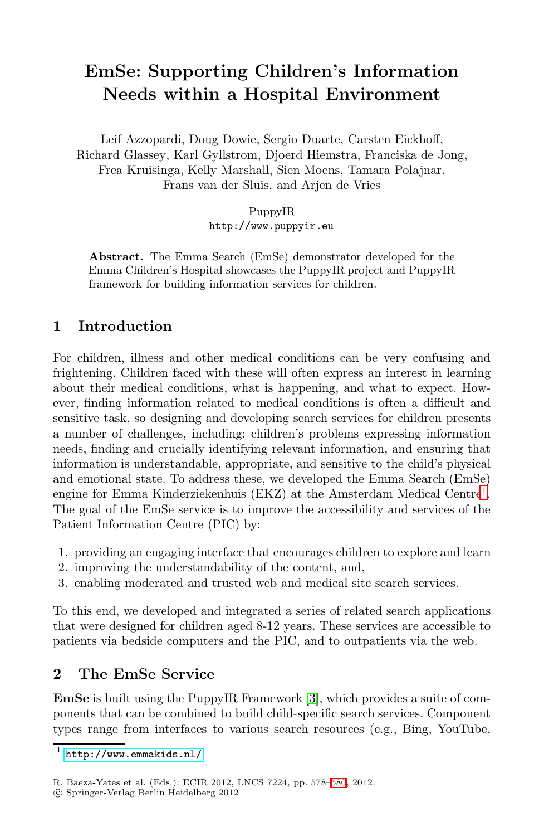## **EmSe: Supporting Children's Information Needs within a Hospital Environment**

Leif Azzopardi, Doug Dowie, Sergio Duarte, Carsten Eickhoff, Richard Glassey, Karl Gyllstrom, Djoerd Hiemstra, Franciska de Jong, Frea Kruisinga, Kelly Marshall, Sien Moens, Tamara Polajnar, Frans van der Sluis, and Arjen de Vries

> PuppyIR http://www.puppyir.eu

**Abstract.** The Emma Search (EmSe) demonstrator developed for the Emma Children's Hospital showcases the PuppyIR project and PuppyIR framework for building information services for children.

## **1 Introduction**

For children, illness and other medical conditions can be very confusing and frightening. Children faced with these will often express a[n](#page-0-0) interest in learning about their medical conditions, what is happening, and what to expect. However, finding information related to medical conditions is often a difficult and sensitive task, so designing and developing search services for children presents a number of challenges, including: children's problems expressing information needs, finding and crucially identifying relevant information, and ensuring that information is understandable, appropriate, and sensitive to the child's physical and emotional state. To address these, we developed the Emma Search (EmSe) engine for Emma Kinderziekenhuis (EKZ) at the Amsterdam Medical Centre<sup>1</sup>. The goal of the EmSe service is to improve the accessibility and services of the Patient Information Centre (PIC) by:

- <span id="page-0-0"></span>1. providing an engaging interface that encourages children to explore and learn
- 2. improving the understandability of the content, and,
- 3. enabling moderated an[d](#page-2-0) trusted web and medical site search services.

To this end, we developed and integrated a series of related search applications that were designed for children aged 8-12 years. These services are accessible to [patients](http://www.emmakids.nl/) via bedside computers and the PIC, and to outpatients via the web.

## **2 The EmSe Service**

**EmSe** is built using the PuppyIR Framework [3], which provides a suite of components that can be combined to build child-specific search services. Component types range from interfaces to various search resources (e.g., Bing, YouTube,

-c Springer-Verlag Berlin Heidelberg 2012

 $1$  http://www.emmakids.nl/

R. Baeza-Yates et al. (Eds.): ECIR 2012, LNCS 7224, pp. 578–580, 2012.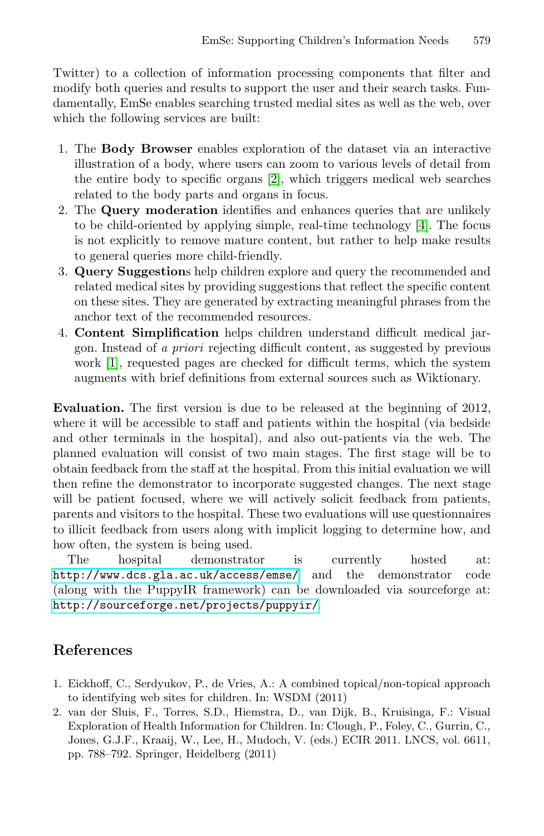Twitter) to a collec[tio](#page-1-0)n of information processing components that filter and modify both queries and results to support the user and their search tasks. Fundamentally, EmSe enables searching trusted me[di](#page-2-1)al sites as well as the web, over which the following services are built:

- 1. The **Body Browser** enables exploration of the dataset via an interactive illustration of a body, where users can zoom to various levels of detail from the entire body to specific organs [2], which triggers medical web searches related to the body parts and organs in focus.
- 2. The **Query moderation** identifies and enhances queries that are unlikely to be child-oriented by applying simple, real-time technology [4]. The focus is not explicitly to remove mature content, but rather to help make results to general queries more child-friendly.
- 3. **Query Suggestion**s help children explore and query the recommended and related medical sites by providing suggestions that reflect the specific content on these sites. They are generated by extracting meaningful phrases from the anchor text of the recommended resources.
- 4. **Content Simplification** helps children understand difficult medical jargon. Instead of *a priori* rejecting difficult content, as suggested by previous work [1], requested pages are checked for difficult terms, which the system augments with brief definitions from external sources such as Wiktionary.

<span id="page-1-0"></span>**Evaluation.** The first version is due to be released at the beginning of 2012, where it will be accessible to staff and patients within the hospital (via bedside and other terminals in the hospital), and also out-patients via the web. The [planned evaluation will c](http://www.dcs.gla.ac.uk/access/emse/)onsist of two main stages. The first stage will be to obtain feedback from the staff at the hospital. From this initial evaluation we will [then refine the demonstrator](http://sourceforge.net/projects/puppyir/) to incorporate suggested changes. The next stage will be patient focused, where we will actively solicit feedback from patients, parents and visitors to the hospital. These two evaluations will use questionnaires to illicit feedback from users along with implicit logging to determine how, and how often, the system is being used.

The hospital demonstrator is currently hosted at: http://www.dcs.gla.ac.uk/access/emse/ and the demonstrator code (along with the PuppyIR framework) can be downloaded via sourceforge at: http://sourceforge.net/projects/puppyir/.

## **References**

- 1. Eickhoff, C., Serdyukov, P., de Vries, A.: A combined topical/non-topical approach to identifying web sites for children. In: WSDM (2011)
- 2. van der Sluis, F., Torres, S.D., Hiemstra, D., van Dijk, B., Kruisinga, F.: Visual Exploration of Health Information for Children. In: Clough, P., Foley, C., Gurrin, C., Jones, G.J.F., Kraaij, W., Lee, H., Mudoch, V. (eds.) ECIR 2011. LNCS, vol. 6611, pp. 788–792. Springer, Heidelberg (2011)